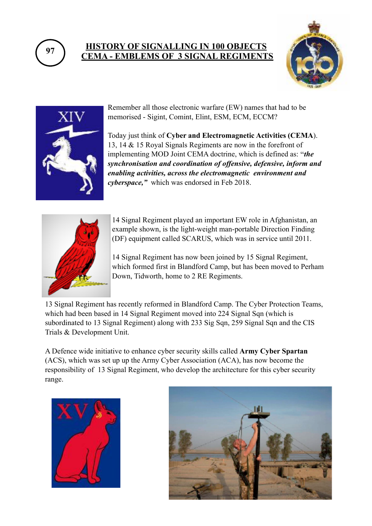

## **<sup>97</sup> HISTORY OF SIGNALLING IN 100 OBJECTS CEMA - EMBLEMS OF 3 SIGNAL REGIMENTS**





Remember all those electronic warfare (EW) names that had to be memorised - Sigint, Comint, Elint, ESM, ECM, ECCM?

Today just think of **Cyber and Electromagnetic Activities (CEMA**). 13, 14 & 15 Royal Signals Regiments are now in the forefront of implementing MOD Joint CEMA doctrine, which is defined as: **"***the synchronisation and coordination of offensive, defensive, inform and enabling activities, across the electromagnetic environment and cyberspace,"* which was endorsed in Feb 2018.



14 Signal Regiment played an important EW role in Afghanistan, an example shown, is the light-weight man-portable Direction Finding (DF) equipment called SCARUS, which was in service until 2011.

14 Signal Regiment has now been joined by 15 Signal Regiment, which formed first in Blandford Camp, but has been moved to Perham Down, Tidworth, home to 2 RE Regiments.

13 Signal Regiment has recently reformed in Blandford Camp. The Cyber Protection Teams, which had been based in 14 Signal Regiment moved into 224 Signal Sqn (which is subordinated to 13 Signal Regiment) along with 233 Sig Sqn, 259 Signal Sqn and the CIS Trials & Development Unit.

A Defence wide initiative to enhance cyber security skills called **Army Cyber Spartan**  (ACS), which was set up up the Army Cyber Association (ACA), has now become the responsibility of 13 Signal Regiment, who develop the architecture for this cyber security range.